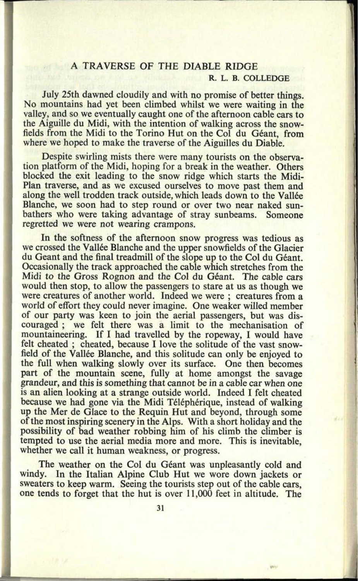## **A TRAVERSE OF THE DIABLE RIDGE R. L. B. COLLEDGE**

July 25th dawned cloudily and with no promise of better things. No mountains had yet been climbed whilst we were waiting in the valley, and so we eventually caught one of the afternoon cable cars to the Aiguille du Midi, with the intention of walking across the snowfields from the Midi to the Torino Hut on the Col du Géant, from where we hoped to make the traverse of the Aiguilles du Diable.

Despite swirling mists there were many tourists on the observation platform of the Midi, hoping for a break in the weather. Others blocked the exit leading to the snow ridge which starts the Midi-Plan traverse, and as we excused ourselves to move past them and along the well trodden track outside, which leads down to the Vallée Blanche, we soon had to step round or over two near naked sunbathers who were taking advantage of stray sunbeams. Someone regretted we were not wearing crampons.

In the softness of the afternoon snow progress was tedious as we crossed the Vallée Blanche and the upper snowfields of the Glacier du Geant and the final treadmill of the slope up to the Col du G6ant. Occasionally the track approached the cable which stretches from the Midi to the Gross Rognon and the Col du Géant. The cable cars would then stop, to allow the passengers to stare at us as though we were creatures of another world. Indeed we were ; creatures from <sup>a</sup> world of effort they could never imagine. One weaker willed member of our party was keen to join the aerial passengers, but was discouraged ; we felt there was a limit to the mechanisation of mountaineering. If I had travelled by the ropeway, I would have felt cheated ; cheated, because I love the solitude of the vast snowfield of the Vallée Blanche, and this solitude can only be enjoyed to the full when walking slowly over its surface. One then becomes part of the mountain scene, fully at home amongst the savage grandeur, and this is something that cannot be in a cable car when one is an alien looking at a strange outside world. Indeed I felt cheated because we had gone via the Midi Téléphérique, instead of walking up the Mer de Glace to the Requin Hut and beyond, through some of the most inspiring scenery in the Alps. With a short holiday and the possibility of bad weather robbing him of his climb the climber is tempted to use the aerial media more and more. This is inevitable, whether we call it human weakness, or progress.

The weather on the Col du Géant was unpleasantly cold and windy. In the Italian Alpine Club Hut we wore down jackets or sweaters to keep warm. Seeing the tourists step out of the cable cars, one tends to forget that the hut is over 11,000 feet in altitude. The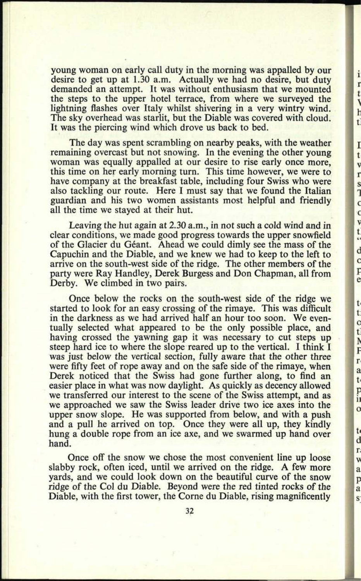young woman on early call duty in the morning was appalled by our desire to get up at 1.30 a.m. Actually we had no desire, but duty demanded an attempt. It was without enthusiasm that we mounted the steps to the upper hotel terrace, from where we surveyed the lightning flashes over Italy whilst shivering in a very wintry wind. The sky overhead was starlit, but the Diable was covered with cloud. It was the piercing wind which drove us back to bed.

i r t ŀ t.

I t  $\overline{v}$  $\mathbf{r}$ s ŋ  $\epsilon$  $\epsilon$ V t  $\epsilon$ d  $\mathbf{C}$ ŗ e

t t.  $\mathbf C$ t. ľ F  $\mathbf{r}$ a t p  $\overline{\mathbf{1}}$  $\circ$ 

 $t$ d r V a p a  $\overline{\mathbf{s}}$ 

The day was spent scrambling on nearby peaks, with the weather remaining overcast but not snowing. In the evening the other young woman was equally appalled at our desire to rise early once more, this time on her early morning turn. This time however, we were to have company at the breakfast table, including four Swiss who were also tackling our route. Here I must say that we found the Italian guardian and his two women assistants most helpful and friendly all the time we stayed at their hut.

Leaving the hut again at 2.30 a.m., in not such a cold wind and in clear conditions, we made good progress towards the upper snowfield of the Glacier du Geant. Ahead we could dimly see the mass of the Capuchin and the Diable, and we knew we had to keep to the left to arrive on the south-west side of the ridge. The other members of the party were Ray Handley, Derek Burgess and Don Chapman, all from Derby. We climbed in two pairs.

Once below the rocks on the south-west side of the ridge we started to look for an easy crossing of the rimaye. This was difficult in the darkness as we had arrived half an hour too soon. We eventually selected what appeared to be the only possible place, and having crossed the yawning gap it was necessary to cut steps up steep hard ice to where the slope reared up to the vertical. I think I was just below the vertical section, fully aware that the other three were fifty feet of rope away and on the safe side of the rimaye, when Derek noticed that the Swiss had gone further along, to find an easier place in what was now daylight. As quickly as decency allowed we transferred our interest to the scene of the Swiss attempt, and as we approached we saw the Swiss leader drive two ice axes into the upper snow slope. He was supported from below, and with a push and a pull he arrived on top. Once they were all up, they kindly hung a double rope from an ice axe, and we swarmed up hand over hand.

Once off the snow we chose the most convenient line up loose slabby rock, often iced, until we arrived on the ridge. A few more yards, and we could look down on the beautiful curve of the snow ridge of the Col du Diable. Beyond were the red tinted rocks of the Diable, with the first tower, the Corne du Diable, rising magnificently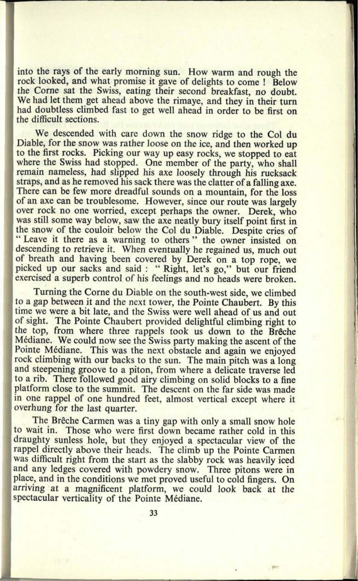into the rays of the early morning sun. How warm and rough the rock looked, and what promise it gave of delights to come ! Below the Corne sat the Swiss, eating their second breakfast, no doubt. We had let them get ahead above the rimaye, and they in their turn had doubtless climbed fast to get well ahead in order to be first on the difficult sections.

We descended with care down the snow ridge to the Col du Diable, for the snow was rather loose on the ice, and then worked up to the first rocks. Picking our way up easy rocks, we stopped to eat where the Swiss had stopped. One member of the party, who shall remain nameless, had slipped his axe loosely through his rucksack straps, and as he removed his sack there was the clatter of a falling axe. There can be few more dreadful sounds on a mountain, for the loss of an axe can be troublesome. However, since our route was largely over rock no one worried, except perhaps the owner. Derek, who was still some way below, saw the axe neatly bury itself point first in the snow of the couloir below the Col du Diable. Despite cries of "Leave it there as a warning to others" the owner insisted on descending to retrieve it. When eventually he regained us, much out of breath and having been covered by Derek on a top rope, we <sup>p</sup>icked up our sacks and said : " Right, let's go," but our friend exercised a superb control of his feelings and no heads were broken.

Turning the Corne du Diable on the south-west side, we climbed to <sup>a</sup>gap between it and the next tower, the Pointe Chaubert. By this time we were a bit late, and the Swiss were well ahead of us and out of sight. The Pointe Chaubert provided delightful climbing right to the top, from where three rappels took us down to the Brêche Mediane. We could now see the Swiss party making the ascent of the Pointe Médiane. This was the next obstacle and again we enjoyed rock climbing with our backs to the sun. The main pitch was a long and steepening groove to a piton, from where a delicate traverse led to a rib. There followed good airy climbing on solid blocks to a fine platform close to the summit. The descent on the far side was made in one rappel of one hundred feet, almost vertical except where it overhung for the last quarter.

The Brêche Carmen was a tiny gap with only a small snow hole to wait in. Those who were first down became rather cold in this draughty sunless hole, but they enjoyed a spectacular view of the rappel directly above their heads. The climb up the Pointe Carmen was difficult right from the start as the slabby rock was heavily iced and any ledges covered with powdery snow. Three pitons were in <sup>p</sup>lace, and in the conditions we met proved useful to cold fingers. On arriving at a magnificent platform, we could look back at the spectacular verticality of the Pointe Médiane.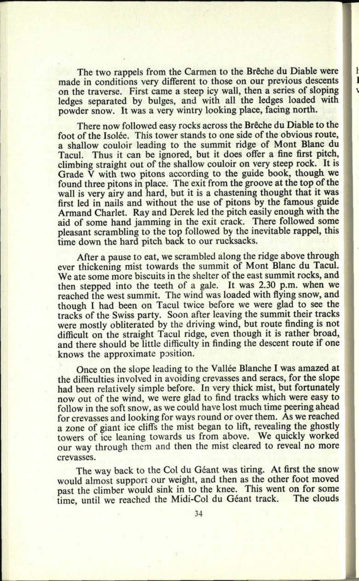The two rappels from the Carmen to the Brêche du Diable were made in conditions very different to those on our previous descents on the traverse. First came <sup>a</sup>steep icy wall, then a series of sloping ledges separated by bulges, and with all the ledges loaded with powder snow. It was a very wintry looking place, facing north.

 $\mathbf{I}$ 

١

There now followed easy rocks across the Brêche du Diable to the foot of the Isolée. This tower stands to one side of the obvious route, a shallow couloir leading to the summit ridge of Mont Blanc du Tacul. Thus it can be ignored, but it does offer a fine first pitch, climbing straight out of the shallow couloir on very steep rock. It is Grade V with two pitons according to the guide book, though we found three pitons in place. The exit from the groove at the top of the wall is very airy and hard, but it is a chastening thought that it was first led in nails and without the use of pitons by the famous guide Armand Charlet. Ray and Derek led the pitch easily enough with the aid of some hand jamming in the exit crack. There followed some <sup>p</sup>leasant scrambling to the top followed by the inevitable rappel, this time down the hard pitch back to our rucksacks.

After a pause to eat, we scrambled along the ridge above through ever thickening mist towards the summit of Mont Blanc du Tacul. We ate some more biscuits in the shelter of the east summit rocks, and then stepped into the teeth of a gale. It was 2.30 p.m. when we reached the west summit. The wind was loaded with flying snow, and though I had been on Tacul twice before we were glad to see the tracks of the Swiss party. Soon after leaving the summit their tracks were mostly obliterated by the driving wind, but route finding is not difficult on the straight Tacul ridge, even though it is rather broad, and there should be little difficulty in finding the descent route if one knows the approximate position.

Once on the slope leading to the Vallée Blanche I was amazed at the difficulties involved in avoiding crevasses and seracs, for the slope had been relatively simple before. In very thick mist, but fortunately now out of the wind, we were glad to find tracks which were easy to follow in the soft snow, as we could have lost much time peering ahead for crevasses and looking for ways round or over them. As we reached a zone of giant ice cliffs the mist began to lift, revealing the ghostly towers of ice leaning towards us from above. We quickly worked our way through them and then the mist cleared to reveal no more crevasses.

The way back to the Col du Géant was tiring. At first the snow would almost support our weight, and then as the other foot moved past the climber would sink in to the knee. This went on for some time until we reached the Midi-Col du Géant track. The clouds time, until we reached the Midi-Col du Géant track.